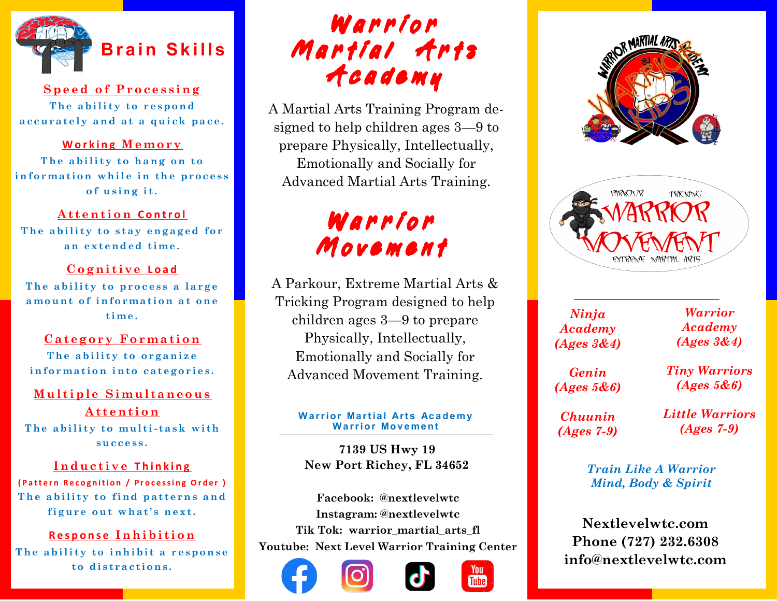

#### Speed of Processing

The ability to respond accurately and at a quick pace.

#### **W o r k i n g M e m o ry**

The ability to hang on to information while in the process of using it.

#### **A t t e n t i o n C o n t r o l**

The ability to stay engaged for an extended time.

## **Cognitive Load**

The ability to process a large a mount of information at one **ti me .**

#### **C a t e g o r y Fo r m a ti o n** The ability to organize

information into categories.

## **M u l t i p l e S i m u l ta n e o u s A t t e n t i o n** The ability to multi-task with

**su c ce ss.**

#### Inductive Thinking

**(Pattern Recognition / Processing Order)** The ability to find patterns and figure out what's next.

#### **R e s p o n s e I n h i b i ti o n**

The ability to inhibit a response **t o di s t r a ct i o n s.**

# Warrfor Martial Arts A c ad e my

A Martial Arts Training Program designed to help children ages 3—9 to prepare Physically, Intellectually, Emotionally and Socially for Advanced Martial Arts Training.



A Parkour, Extreme Martial Arts & Tricking Program designed to help children ages 3—9 to prepare Physically, Intellectually, Emotionally and Socially for Advanced Movement Training.

#### **Warrior Martial Arts Academy Warrior Movement**

**7139 US Hwy 19 New Port Richey, FL 34652**

**Facebook: @nextlevelwtc Instagram: @nextlevelwtc Tik Tok: warrior\_martial\_arts\_fl Youtube: Next Level Warrior Training Center**











## *Ninja Academy (Ages 3&4)*

*Warrior Academy (Ages 3&4)*

*Genin (Ages 5&6)* *Tiny Warriors (Ages 5&6)*

*Chuunin (Ages 7-9)* *Little Warriors (Ages 7-9)*

*Train Like A Warrior Mind, Body & Spirit*

**Nextlevelwtc.com Phone (727) 232.6308 info@nextlevelwtc.com**